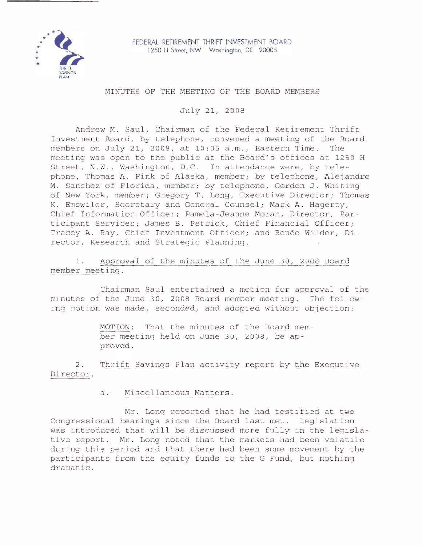

## MINUTES OF THE MEETING OF THE BOARD MEMBERS

July 21, 2008

Andrew M. Saul, Chairman of the Federal Retirement Thrift Investment Board, by telephone, convened a meeting of the Board members on July 21, 2008, at 10:05 a.m., Eastern Time. The meeting was open to the public at the Board's offices at 1250 <sup>H</sup> Street, N.W., Washington, D.C. In attendance were, by telephone, Thomas A. Fink of Alaska, member; by telephone, Alejandro M. Sanchez of Florida, member; by telephone, Gordon J. Whiting of New York, member; Gregory T. Long, Executive Director; Thomas K. Emswiler, Secretary and General Counsel; Mark A. Hagerty, Chief Information Officer; Pamela-Jeanne Moran, Director, Par~ ticipant Services; James B. Petrick, Chief Financial Officer; Tracey A. Ray, Chief Investment Officer; and Renée Wilder, Director, Research and Strategic Plannjng.

1. Approval of the minutes of the June 30, 2008 Board member meeting.

Chairman Saul entertained a motion for approval of the minutes of the June 30, 2008 Board member meeting. The following motion was made, seconded, and adopted without objection:

> MOTION: That the minutes of the Board member meeting held on June 30, 2008, be approved.

2. Thrift Savings Plan activity report by the Executive Director.

a. Miscellaneous Matters.

Mr. Long reported that he had testified at two Congressional hearings since the Board last met. Legislation was introduced that will be discussed more fully in the legislative report. Mr. Long noted that the markets had been volatile during this period and that there had been some movement by the participants from the equity funds to the G Fund, but nothing dramatic.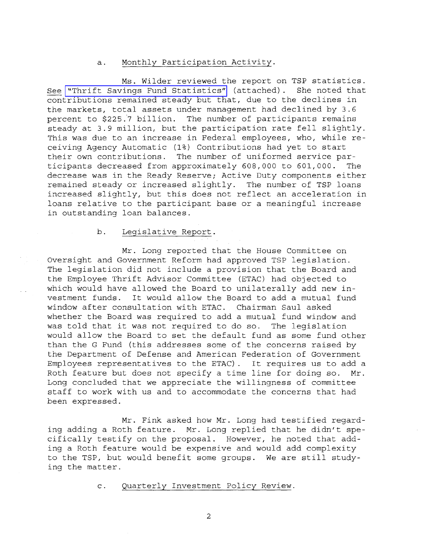## a. Monthly Participation Activity.

Ms. Wilder reviewed the report on TSP statistics.<br>Tings Fund Statistics" (attached). She noted that See "Thrift Savings Fund [Statistics"](http://www.frtib.gov/pdf/minutes/MM-2008Jul-Att1.pdf) (attached). contributions remained steady but that, due to the declines in the markets, total assets under management had declined by 3.6 percent to \$225.'7 billion. The number of participants remains steady at 3.9 million, but the participation rate fell slightly. This was due to an increase in Federal employees, who, while receiving Agency Automatic (1%) Contributions had yet to start their own contributions. The number of uniformed service participants decreased from approximately 608,000 to 601,000. The decrease was in the Ready Reserve; Active Duty components either remained steady or increased slightly. The number of TSP loans increased slightly, but this does not reflect an acceleration in loans relative to the participant base or <sup>a</sup> meaningful increase in outstanding loan balances.

## b. Legislative Report.

Mr. Long reported that the House Committee on Oversight and Government Reform had approved TSP legislation. The legislation did not include <sup>a</sup> provision that the Board and the Employee Thrift Advisor Committee (ETAC) had objected to which would have allowed the Board to unilaterally add new investment funds. It would allow the Board to add <sup>a</sup> mutual fund window after consultation with ETAC. Chairman Saul asked whether the Board was required to add a mutual fund window and was told that it was not required to do so. The legislation would allow the Board to set the default fund as some fund other than the G Fund (this addresses some of the concerns raised by the Department of Defense and American Federation of Government Employees representatives to the ETAC). It requires us to add <sup>a</sup> Roth feature but does not specify a time line for doing so. Mr. Long concluded that we appreciate the willingness of committee staff to work with us and to accommodate the concerns that had been expressed.

Mr. Fink asked how Mr. Long had testified regarding adding <sup>a</sup> Roth feature. Mr. Long replied that he didn't specifically testify on the proposal. However, he noted that adding a Roth feature would be expensive and would add complexity to the TSP, but would benefit some groups. We are still studying the matter.

c. Quarterly Investment Policy Review.

2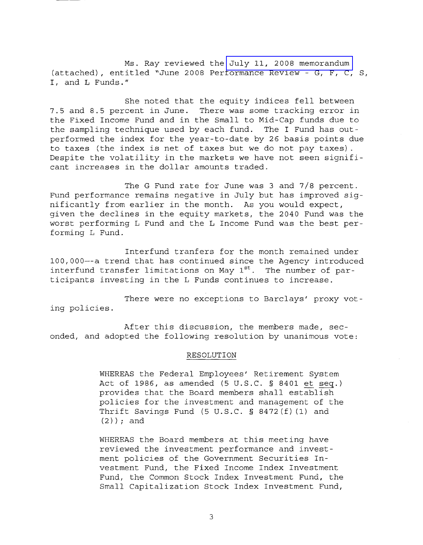Ms. Ray reviewed the July 11, 2008 [memorandum](http://www.frtib.gov/pdf/minutes/MM-2008Jul-Att2.pdf) (attached), entitled "June 2008 Performance Review - G, F, C, S, **I,** and L Funds."

She noted that the equity indices fell between 7.5 and 8.5 percent in June. There was some tracking error in the Fixed Income Fund and in the Small to Mid-Cap funds due to the sampling technique used by each fund. The I Fund has outperformed the index for the year-to-date by 26 basis points due to taxes (the index is net of taxes but we do not pay taxes) . Despite the volatility in the markets we have not seen significant increases in the dollar amounts traded.

The <sup>G</sup> Fund rate for June was <sup>3</sup> and 7/8 percent. Fund performance remains negative in July but has improved significantly from earlier in the month. As you would expect, given the declines in the equity markets, the 2040 Fund was the worst performing L Fund and the L Income Fund was the best performing L Fund.

Interfund tranfers for the month remained under 100,000--a trend that has continued since the Agency introduced interfund transfer limitations on May  $1^{st}$ . The number of participants investing in the <sup>L</sup> Funds continues to increase.

There were no exceptions to Barclays' proxy voting policies.

After this discussion, the members made, seconded, and adopted the following resolution by unanimous vote:

#### RESOLUTION

WHEREAS the Federal Employees' Retirement System Act of 1986, as amended (5 U.S.C. § 8401 et seq.) provides that the Board members shall establish policies for the investment and management of the Thrift Savings Fund (5 U.S.C. § 8472(f) (1) and (2)); and

WHEREAS the Board members at this meeting have reviewed the investment performance and investment policies of the Government Securities Investment Fund, the Fixed Income Index Investment Fund, the Common Stock Index Investment Fund, the Small Capitalization Stock Index Investment Fund,

3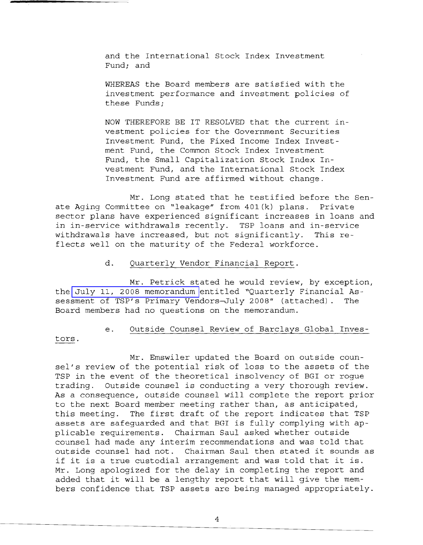and the International Stock Index Investment Fund; and

WHEREAS the Board members are satisfied with the investment performance and investment policies of these Funds;

NOW THEREFORE BE IT RESOLVED that the current investment policies for the Government Securities Investment Fund, the Fixed Income Index Investment Fund, the Common Stock Index Investment Fund, the Small Capitalization Stock Index Investment Fund, and the International Stock Index Investment Fund are affirmed without change.

Mr. Long stated that he testified before the Senate Aging Committee on "leakage" from 401(k) plans. Private sector plans have experienced significant increases in loans and in in-service withdrawals recently. TSP loans and in-service withdrawals have increased, but not significantly. This reflects well on the maturity of the Federal workforce.

### d. Quarterly Vendor Financial Report.

Mr. Petrick stated he would review, by exception, the July 11, 2008 [memorandum](http://www.frtib.gov/pdf/minutes/MM-2008Jul-Att3.pdf) entitled "Quarterly Financial Assessment of TSP's Primary Vendors-July 2008" (attached). The Board members had no questions on the memorandum.

tors.

# e. Outside Counsel Review of Barclays Global Inves-

Mr. Emswiler updated the Board on outside counsel's review of the potential risk of loss to the assets of the TSP in the event of the theoretical insolvency of BGI or rogue trading. Outside counsel is conducting <sup>a</sup> very thorough review. As a consequence, outside counsel will complete the report prior to the next Board member meeting rather than, as anticipated, this meeting. The first draft of the report indicates that TSP assets are safeguarded and that BGI is fully complying with applicable requirements. Chairman Saul asked whether outside counsel had made any interim recommendations and was told that outside counsel had not. Chairman Saul then stated it sounds as if it is <sup>a</sup> true custodial arrangement and was told that it is. Mr. Long apologized for the delay in completing the report and added that it will be <sup>a</sup> lengthy report that will give the members confidence that TSP assets are being managed appropriately.

4